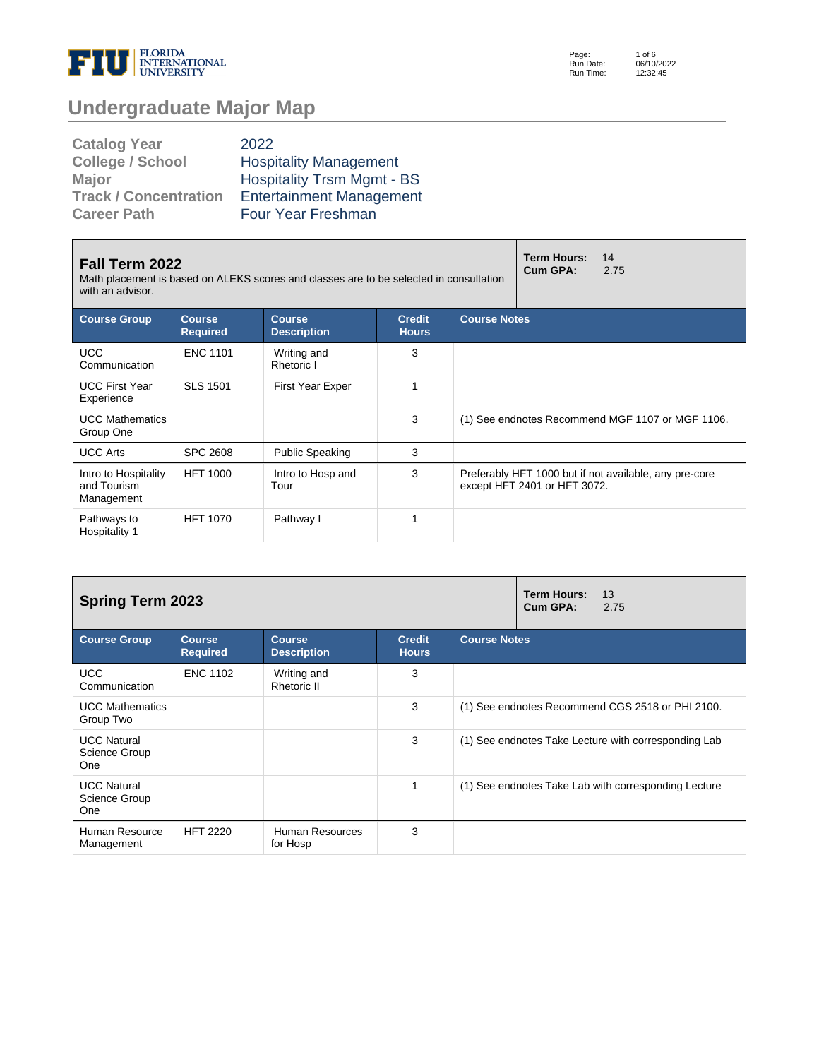

Page: Run Date: Run Time: 1 of 6 06/10/2022 12:32:45

## **Undergraduate Major Map**

| <b>Catalog Year</b>          | 2022                              |
|------------------------------|-----------------------------------|
| <b>College / School</b>      | <b>Hospitality Management</b>     |
| <b>Major</b>                 | <b>Hospitality Trsm Mgmt - BS</b> |
| <b>Track / Concentration</b> | <b>Entertainment Management</b>   |
| <b>Career Path</b>           | <b>Four Year Freshman</b>         |

| Fall Term 2022<br>Math placement is based on ALEKS scores and classes are to be selected in consultation<br>with an advisor. |                                  | <b>Term Hours:</b><br>Cum GPA:      | 14<br>2.75                    |                     |                              |                                                        |
|------------------------------------------------------------------------------------------------------------------------------|----------------------------------|-------------------------------------|-------------------------------|---------------------|------------------------------|--------------------------------------------------------|
| <b>Course Group</b>                                                                                                          | <b>Course</b><br><b>Required</b> | <b>Course</b><br><b>Description</b> | <b>Credit</b><br><b>Hours</b> | <b>Course Notes</b> |                              |                                                        |
| <b>UCC</b><br>Communication                                                                                                  | <b>ENC 1101</b>                  | Writing and<br>Rhetoric I           | 3                             |                     |                              |                                                        |
| <b>UCC First Year</b><br>Experience                                                                                          | <b>SLS 1501</b>                  | <b>First Year Exper</b>             | 1                             |                     |                              |                                                        |
| <b>UCC Mathematics</b><br>Group One                                                                                          |                                  |                                     | 3                             |                     |                              | (1) See endnotes Recommend MGF 1107 or MGF 1106.       |
| <b>UCC Arts</b>                                                                                                              | SPC 2608                         | <b>Public Speaking</b>              | 3                             |                     |                              |                                                        |
| Intro to Hospitality<br>and Tourism<br>Management                                                                            | <b>HFT 1000</b>                  | Intro to Hosp and<br>Tour           | 3                             |                     | except HFT 2401 or HFT 3072. | Preferably HFT 1000 but if not available, any pre-core |
| Pathways to<br>Hospitality 1                                                                                                 | <b>HFT 1070</b>                  | Pathway I                           |                               |                     |                              |                                                        |

| <b>Spring Term 2023</b>                    |                                  |                                     |                               |                     | <b>Term Hours:</b><br>13<br>Cum GPA:<br>2.75         |
|--------------------------------------------|----------------------------------|-------------------------------------|-------------------------------|---------------------|------------------------------------------------------|
| <b>Course Group</b>                        | <b>Course</b><br><b>Required</b> | <b>Course</b><br><b>Description</b> | <b>Credit</b><br><b>Hours</b> | <b>Course Notes</b> |                                                      |
| <b>UCC</b><br>Communication                | <b>ENC 1102</b>                  | Writing and<br>Rhetoric II          | 3                             |                     |                                                      |
| <b>UCC Mathematics</b><br>Group Two        |                                  |                                     | 3                             |                     | (1) See endnotes Recommend CGS 2518 or PHI 2100.     |
| <b>UCC Natural</b><br>Science Group<br>One |                                  |                                     | 3                             |                     | (1) See endnotes Take Lecture with corresponding Lab |
| <b>UCC Natural</b><br>Science Group<br>One |                                  |                                     |                               |                     | (1) See endnotes Take Lab with corresponding Lecture |
| Human Resource<br>Management               | <b>HFT 2220</b>                  | Human Resources<br>for Hosp         | 3                             |                     |                                                      |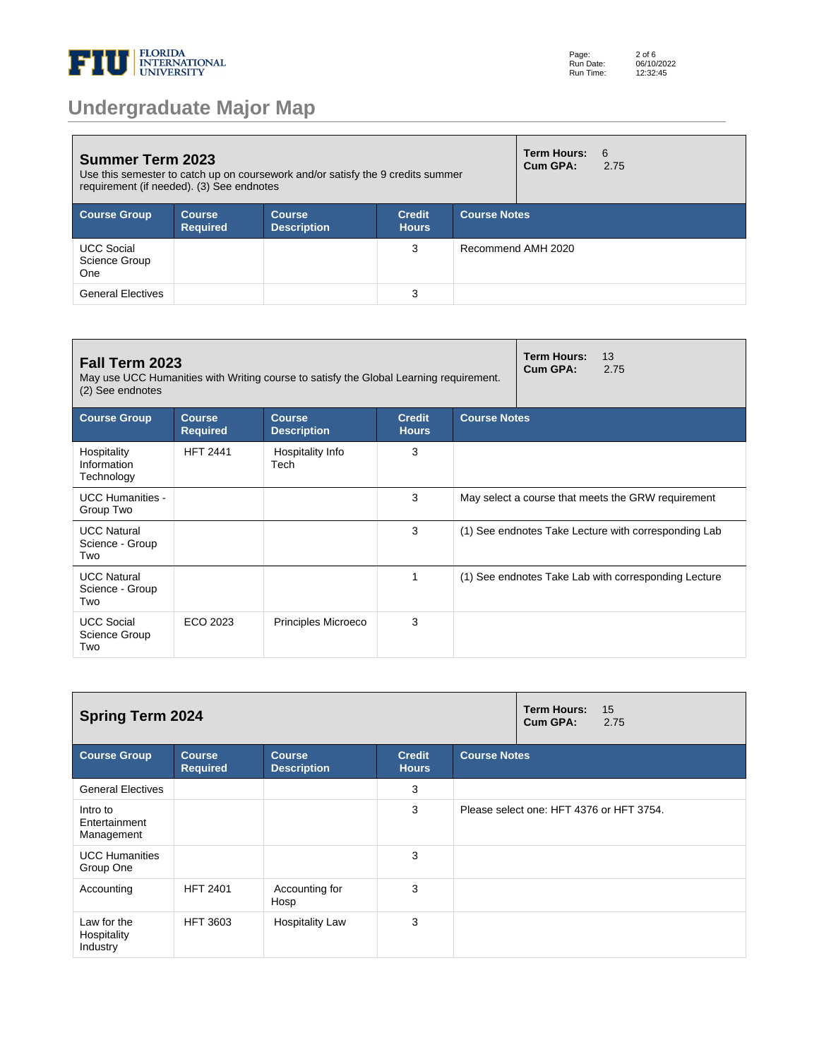

| <b>Summer Term 2023</b><br>Use this semester to catch up on coursework and/or satisfy the 9 credits summer<br>requirement (if needed). (3) See endnotes |                                  |                                     |                               |                     |                    | 6<br>2.75 |
|---------------------------------------------------------------------------------------------------------------------------------------------------------|----------------------------------|-------------------------------------|-------------------------------|---------------------|--------------------|-----------|
| <b>Course Group</b>                                                                                                                                     | <b>Course</b><br><b>Required</b> | <b>Course</b><br><b>Description</b> | <b>Credit</b><br><b>Hours</b> | <b>Course Notes</b> |                    |           |
| <b>UCC Social</b><br><b>Science Group</b><br><b>One</b>                                                                                                 |                                  |                                     | 3                             |                     | Recommend AMH 2020 |           |
| <b>General Electives</b>                                                                                                                                |                                  |                                     | 3                             |                     |                    |           |

| Fall Term 2023<br>May use UCC Humanities with Writing course to satisfy the Global Learning requirement.<br>(2) See endnotes |                                  | Term Hours:<br>13<br>Cum GPA:<br>2.75 |                               |                     |                                                      |
|------------------------------------------------------------------------------------------------------------------------------|----------------------------------|---------------------------------------|-------------------------------|---------------------|------------------------------------------------------|
| <b>Course Group</b>                                                                                                          | <b>Course</b><br><b>Required</b> | <b>Course</b><br><b>Description</b>   | <b>Credit</b><br><b>Hours</b> | <b>Course Notes</b> |                                                      |
| Hospitality<br>Information<br>Technology                                                                                     | <b>HFT 2441</b>                  | Hospitality Info<br>Tech              | 3                             |                     |                                                      |
| <b>UCC Humanities -</b><br>Group Two                                                                                         |                                  |                                       | 3                             |                     | May select a course that meets the GRW requirement   |
| <b>UCC Natural</b><br>Science - Group<br>Two                                                                                 |                                  |                                       | 3                             |                     | (1) See endnotes Take Lecture with corresponding Lab |
| <b>UCC Natural</b><br>Science - Group<br>Two                                                                                 |                                  |                                       | $\mathbf{1}$                  |                     | (1) See endnotes Take Lab with corresponding Lecture |
| <b>UCC Social</b><br>Science Group<br>Two                                                                                    | ECO 2023                         | Principles Microeco                   | 3                             |                     |                                                      |

| <b>Spring Term 2024</b>                 |                                  | Term Hours:<br>15<br>Cum GPA:<br>2.75 |                               |                     |                                          |
|-----------------------------------------|----------------------------------|---------------------------------------|-------------------------------|---------------------|------------------------------------------|
| <b>Course Group</b>                     | <b>Course</b><br><b>Required</b> | <b>Course</b><br><b>Description</b>   | <b>Credit</b><br><b>Hours</b> | <b>Course Notes</b> |                                          |
| <b>General Electives</b>                |                                  |                                       | 3                             |                     |                                          |
| Intro to<br>Entertainment<br>Management |                                  |                                       | 3                             |                     | Please select one: HFT 4376 or HFT 3754. |
| <b>UCC Humanities</b><br>Group One      |                                  |                                       | 3                             |                     |                                          |
| Accounting                              | <b>HFT 2401</b>                  | Accounting for<br>Hosp                | 3                             |                     |                                          |
| Law for the<br>Hospitality<br>Industry  | <b>HFT 3603</b>                  | <b>Hospitality Law</b>                | 3                             |                     |                                          |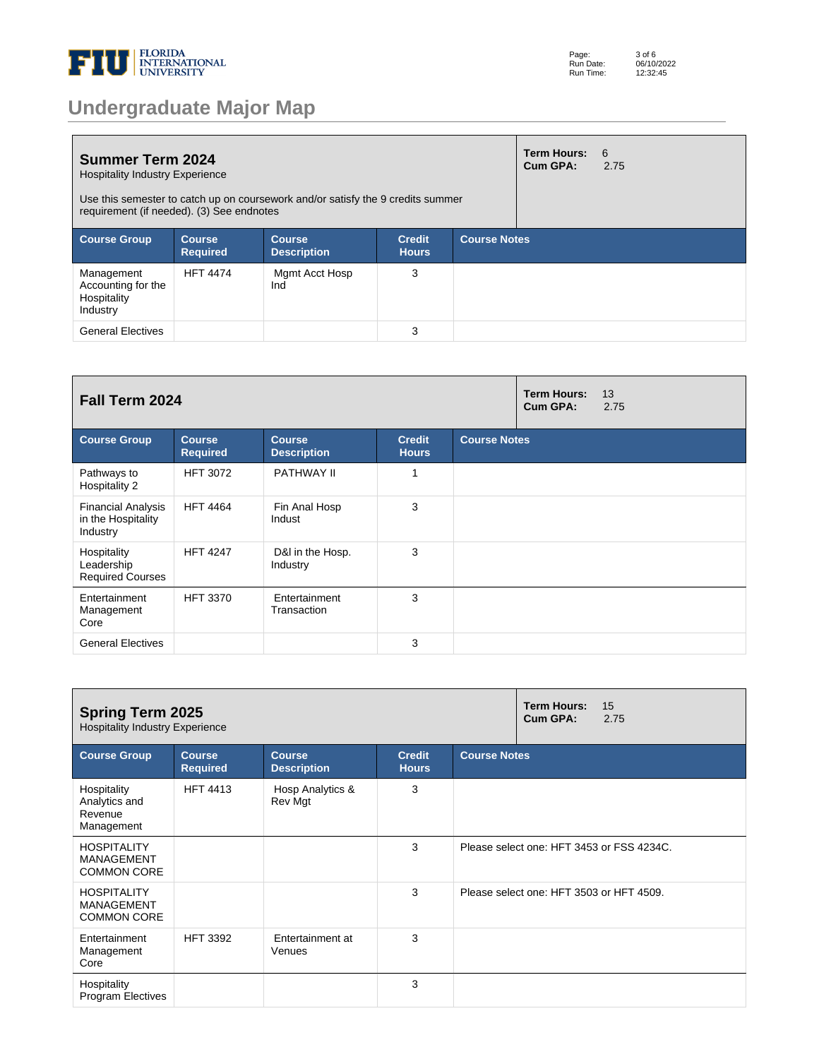

|  |  | <b>Undergraduate Major Map</b> |  |
|--|--|--------------------------------|--|
|  |  |                                |  |

| <b>Summer Term 2024</b><br><b>Hospitality Industry Experience</b><br>Use this semester to catch up on coursework and/or satisfy the 9 credits summer<br>requirement (if needed). (3) See endnotes |                                  |                                     |                               |                     |  | -6<br>2.75 |
|---------------------------------------------------------------------------------------------------------------------------------------------------------------------------------------------------|----------------------------------|-------------------------------------|-------------------------------|---------------------|--|------------|
| <b>Course Group</b>                                                                                                                                                                               | <b>Course</b><br><b>Required</b> | <b>Course</b><br><b>Description</b> | <b>Credit</b><br><b>Hours</b> | <b>Course Notes</b> |  |            |
| Management<br>Accounting for the<br>Hospitality<br>Industry                                                                                                                                       | <b>HFT 4474</b>                  | Mgmt Acct Hosp<br>Ind               | 3                             |                     |  |            |
| <b>General Electives</b>                                                                                                                                                                          |                                  |                                     | 3                             |                     |  |            |

| Fall Term 2024                                              |                                  |                                     |                               |                     |  | 13<br>2.75 |
|-------------------------------------------------------------|----------------------------------|-------------------------------------|-------------------------------|---------------------|--|------------|
| <b>Course Group</b>                                         | <b>Course</b><br><b>Required</b> | <b>Course</b><br><b>Description</b> | <b>Credit</b><br><b>Hours</b> | <b>Course Notes</b> |  |            |
| Pathways to<br>Hospitality 2                                | <b>HFT 3072</b>                  | PATHWAY II                          |                               |                     |  |            |
| <b>Financial Analysis</b><br>in the Hospitality<br>Industry | <b>HFT 4464</b>                  | Fin Anal Hosp<br>Indust             | 3                             |                     |  |            |
| Hospitality<br>Leadership<br><b>Required Courses</b>        | <b>HFT 4247</b>                  | D&I in the Hosp.<br>Industry        | 3                             |                     |  |            |
| Entertainment<br>Management<br>Core                         | <b>HFT 3370</b>                  | Entertainment<br>Transaction        | 3                             |                     |  |            |
| <b>General Electives</b>                                    |                                  |                                     | 3                             |                     |  |            |

| <b>Spring Term 2025</b><br><b>Hospitality Industry Experience</b> |                                  | <b>Term Hours:</b><br>15<br>Cum GPA:<br>2.75 |                               |                     |                                           |
|-------------------------------------------------------------------|----------------------------------|----------------------------------------------|-------------------------------|---------------------|-------------------------------------------|
| <b>Course Group</b>                                               | <b>Course</b><br><b>Required</b> | <b>Course</b><br><b>Description</b>          | <b>Credit</b><br><b>Hours</b> | <b>Course Notes</b> |                                           |
| Hospitality<br>Analytics and<br>Revenue<br>Management             | <b>HFT 4413</b>                  | Hosp Analytics &<br>Rev Mgt                  | 3                             |                     |                                           |
| <b>HOSPITALITY</b><br><b>MANAGEMENT</b><br><b>COMMON CORE</b>     |                                  |                                              | 3                             |                     | Please select one: HFT 3453 or FSS 4234C. |
| <b>HOSPITALITY</b><br><b>MANAGEMENT</b><br><b>COMMON CORE</b>     |                                  |                                              | 3                             |                     | Please select one: HFT 3503 or HFT 4509.  |
| Entertainment<br>Management<br>Core                               | <b>HFT 3392</b>                  | Entertainment at<br>Venues                   | 3                             |                     |                                           |
| Hospitality<br>Program Electives                                  |                                  |                                              | 3                             |                     |                                           |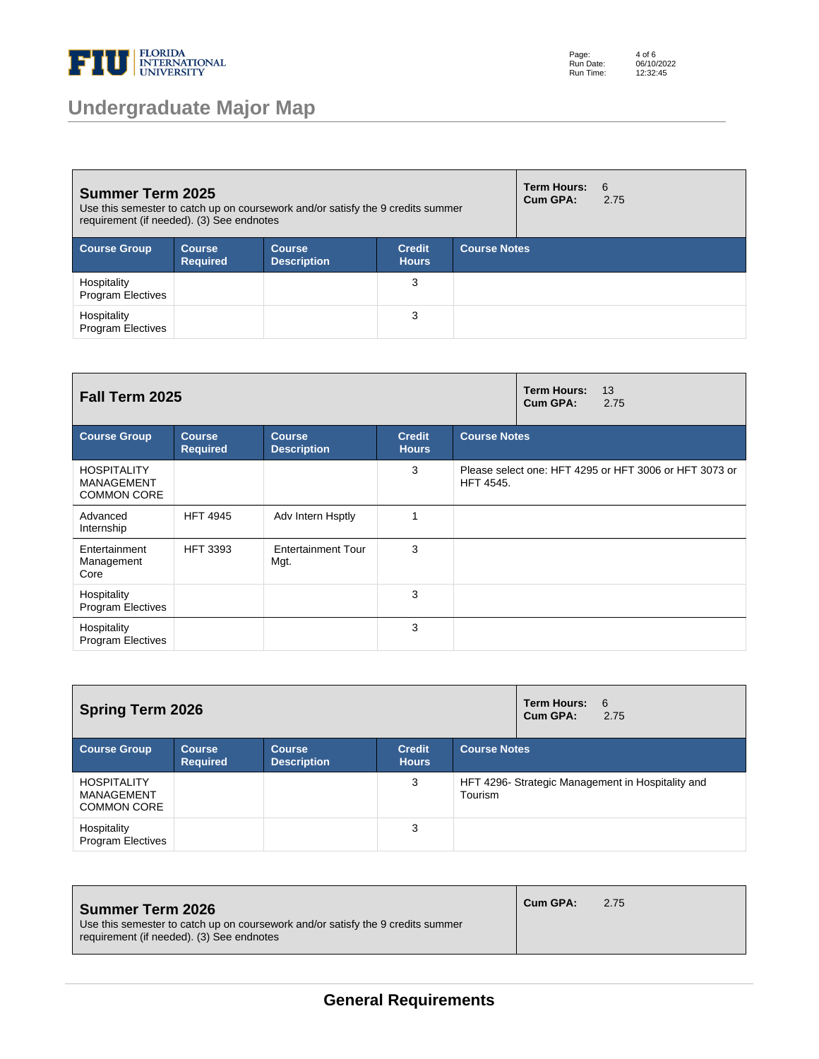

## **Undergraduate Major Map**

Page: Run Date: Run Time: 4 of 6 06/10/2022 12:32:45

| <b>Summer Term 2025</b><br>Use this semester to catch up on coursework and/or satisfy the 9 credits summer<br>requirement (if needed). (3) See endnotes |                           |                                     |                               |                     |  | -6<br>2.75 |
|---------------------------------------------------------------------------------------------------------------------------------------------------------|---------------------------|-------------------------------------|-------------------------------|---------------------|--|------------|
| <b>Course Group</b>                                                                                                                                     | Course<br><b>Required</b> | <b>Course</b><br><b>Description</b> | <b>Credit</b><br><b>Hours</b> | <b>Course Notes</b> |  |            |
| Hospitality<br><b>Program Electives</b>                                                                                                                 |                           |                                     | 3                             |                     |  |            |
| Hospitality<br><b>Program Electives</b>                                                                                                                 |                           |                                     | 3                             |                     |  |            |

| Fall Term 2025                                                |                                  | <b>Term Hours:</b><br>13<br>Cum GPA:<br>2.75 |                               |                                                                            |
|---------------------------------------------------------------|----------------------------------|----------------------------------------------|-------------------------------|----------------------------------------------------------------------------|
| <b>Course Group</b>                                           | <b>Course</b><br><b>Required</b> | <b>Course</b><br><b>Description</b>          | <b>Credit</b><br><b>Hours</b> | <b>Course Notes</b>                                                        |
| <b>HOSPITALITY</b><br><b>MANAGEMENT</b><br><b>COMMON CORE</b> |                                  |                                              | 3                             | Please select one: HFT 4295 or HFT 3006 or HFT 3073 or<br><b>HFT 4545.</b> |
| Advanced<br>Internship                                        | <b>HFT 4945</b>                  | Adv Intern Hsptly                            | 1                             |                                                                            |
| Entertainment<br>Management<br>Core                           | <b>HFT 3393</b>                  | <b>Entertainment Tour</b><br>Mgt.            | 3                             |                                                                            |
| Hospitality<br><b>Program Electives</b>                       |                                  |                                              | 3                             |                                                                            |
| Hospitality<br><b>Program Electives</b>                       |                                  |                                              | 3                             |                                                                            |

| <b>Spring Term 2026</b>                                |                                  |                                     |                               |                     | Term Hours:<br>Cum GPA: | 6<br>2.75                                         |
|--------------------------------------------------------|----------------------------------|-------------------------------------|-------------------------------|---------------------|-------------------------|---------------------------------------------------|
| <b>Course Group</b>                                    | <b>Course</b><br><b>Required</b> | <b>Course</b><br><b>Description</b> | <b>Credit</b><br><b>Hours</b> | <b>Course Notes</b> |                         |                                                   |
| <b>HOSPITALITY</b><br>MANAGEMENT<br><b>COMMON CORE</b> |                                  |                                     | 3                             | Tourism             |                         | HFT 4296- Strategic Management in Hospitality and |
| Hospitality<br><b>Program Electives</b>                |                                  |                                     | 3                             |                     |                         |                                                   |

| <b>Summer Term 2026</b><br>Use this semester to catch up on coursework and/or satisfy the 9 credits summer<br>requirement (if needed). (3) See endnotes | Cum GPA: | 2.75 |
|---------------------------------------------------------------------------------------------------------------------------------------------------------|----------|------|
|                                                                                                                                                         |          |      |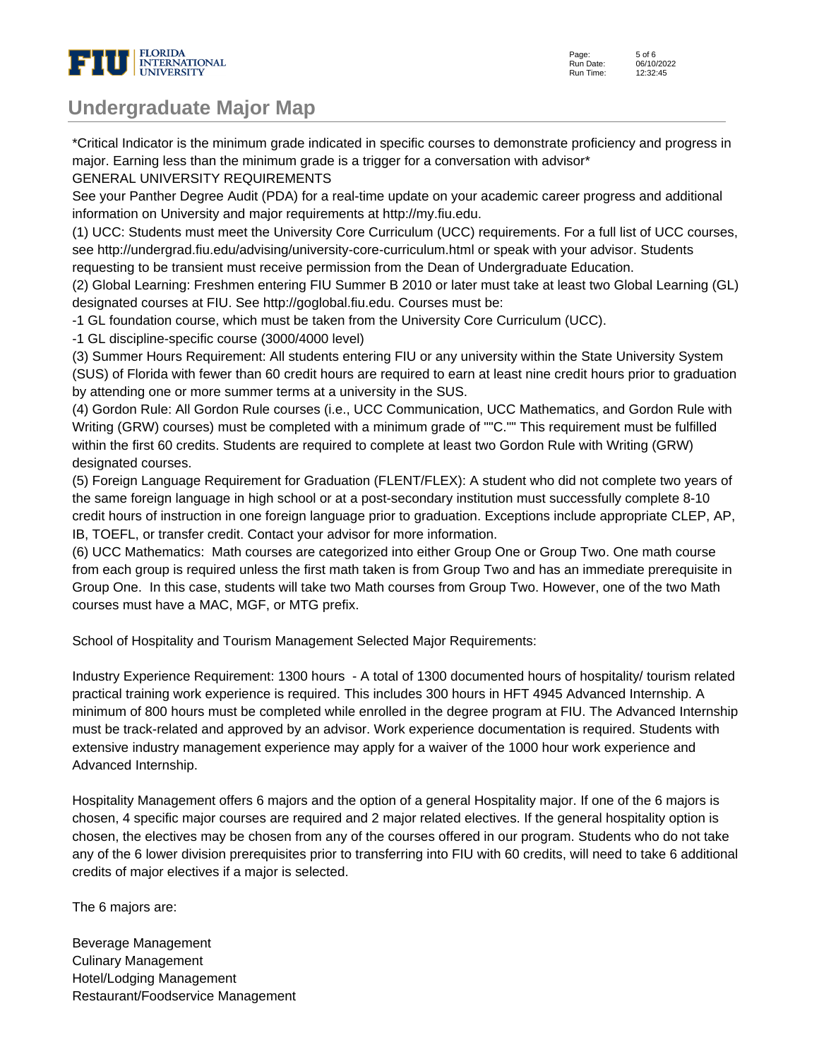

## **Undergraduate Major Map**

\*Critical Indicator is the minimum grade indicated in specific courses to demonstrate proficiency and progress in major. Earning less than the minimum grade is a trigger for a conversation with advisor\*

GENERAL UNIVERSITY REQUIREMENTS

See your Panther Degree Audit (PDA) for a real-time update on your academic career progress and additional information on University and major requirements at http://my.fiu.edu.

(1) UCC: Students must meet the University Core Curriculum (UCC) requirements. For a full list of UCC courses, see http://undergrad.fiu.edu/advising/university-core-curriculum.html or speak with your advisor. Students requesting to be transient must receive permission from the Dean of Undergraduate Education.

(2) Global Learning: Freshmen entering FIU Summer B 2010 or later must take at least two Global Learning (GL) designated courses at FIU. See http://goglobal.fiu.edu. Courses must be:

- 1 GL foundation course, which must be taken from the University Core Curriculum (UCC).

- 1 GL discipline-specific course (3000/4000 level)

(3) Summer Hours Requirement: All students entering FIU or any university within the State University System (SUS) of Florida with fewer than 60 credit hours are required to earn at least nine credit hours prior to graduation by attending one or more summer terms at a university in the SUS.

(4) Gordon Rule: All Gordon Rule courses (i.e., UCC Communication, UCC Mathematics, and Gordon Rule with Writing (GRW) courses) must be completed with a minimum grade of ""C."" This requirement must be fulfilled within the first 60 credits. Students are required to complete at least two Gordon Rule with Writing (GRW) designated courses.

(5) Foreign Language Requirement for Graduation (FLENT/FLEX): A student who did not complete two years of the same foreign language in high school or at a post-secondary institution must successfully complete 8-10 credit hours of instruction in one foreign language prior to graduation. Exceptions include appropriate CLEP, AP, IB, TOEFL, or transfer credit. Contact your advisor for more information.

(6) UCC Mathematics: Math courses are categorized into either Group One or Group Two. One math course from each group is required unless the first math taken is from Group Two and has an immediate prerequisite in Group One. In this case, students will take two Math courses from Group Two. However, one of the two Math courses must have a MAC, MGF, or MTG prefix.

School of Hospitality and Tourism Management Selected Major Requirements:

Industry Experience Requirement: 1300 hours - A total of 1300 documented hours of hospitality/ tourism related practical training work experience is required. This includes 300 hours in HFT 4945 Advanced Internship. A minimum of 800 hours must be completed while enrolled in the degree program at FIU. The Advanced Internship must be track-related and approved by an advisor. Work experience documentation is required. Students with extensive industry management experience may apply for a waiver of the 1000 hour work experience and Advanced Internship.

Hospitality Management offers 6 majors and the option of a general Hospitality major. If one of the 6 majors is chosen, 4 specific major courses are required and 2 major related electives. If the general hospitality option is chosen, the electives may be chosen from any of the courses offered in our program. Students who do not take any of the 6 lower division prerequisites prior to transferring into FIU with 60 credits, will need to take 6 additional credits of major electives if a major is selected.

The 6 majors are:

Beverage Management Culinary Management Hotel/Lodging Management Restaurant/Foodservice Management